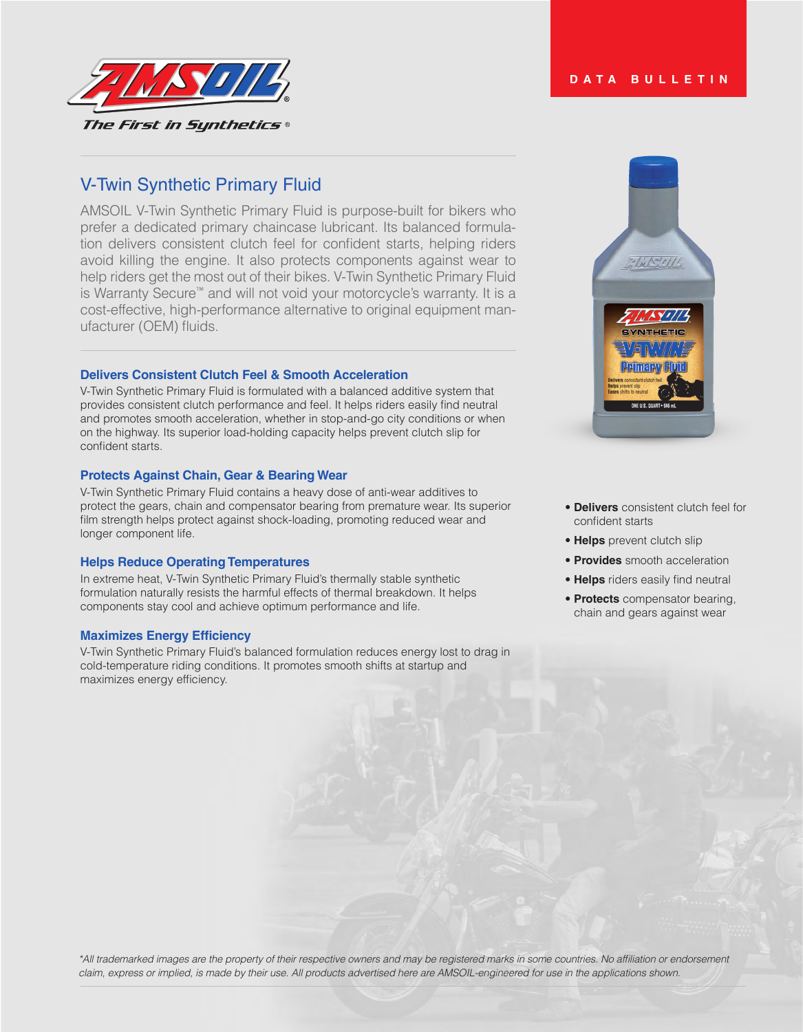

# V-Twin Synthetic Primary Fluid

AMSOIL V-Twin Synthetic Primary Fluid is purpose-built for bikers who prefer a dedicated primary chaincase lubricant. Its balanced formulation delivers consistent clutch feel for confident starts, helping riders avoid killing the engine. It also protects components against wear to help riders get the most out of their bikes. V-Twin Synthetic Primary Fluid is Warranty Secure™ and will not void your motorcycle's warranty. It is a cost-effective, high-performance alternative to original equipment manufacturer (OEM) fluids.

# **Delivers Consistent Clutch Feel & Smooth Acceleration**

V-Twin Synthetic Primary Fluid is formulated with a balanced additive system that provides consistent clutch performance and feel. It helps riders easily find neutral and promotes smooth acceleration, whether in stop-and-go city conditions or when on the highway. Its superior load-holding capacity helps prevent clutch slip for confident starts.

# **Protects Against Chain, Gear & Bearing Wear**

V-Twin Synthetic Primary Fluid contains a heavy dose of anti-wear additives to protect the gears, chain and compensator bearing from premature wear. Its superior film strength helps protect against shock-loading, promoting reduced wear and longer component life.

# **Helps Reduce Operating Temperatures**

In extreme heat, V-Twin Synthetic Primary Fluid's thermally stable synthetic formulation naturally resists the harmful effects of thermal breakdown. It helps components stay cool and achieve optimum performance and life.

# **Maximizes Energy Efficiency**

V-Twin Synthetic Primary Fluid's balanced formulation reduces energy lost to drag in cold-temperature riding conditions. It promotes smooth shifts at startup and maximizes energy efficiency.



- **Delivers** consistent clutch feel for confident starts
- **Helps** prevent clutch slip
- **Provides** smooth acceleration
- **Helps** riders easily find neutral
- **Protects** compensator bearing, chain and gears against wear

\*All trademarked images are the property of their respective owners and may be registered marks in some countries. No affiliation or endorsement *claim, express or implied, is made by their use. All products advertised here are AMSOIL-engineered for use in the applications shown.*